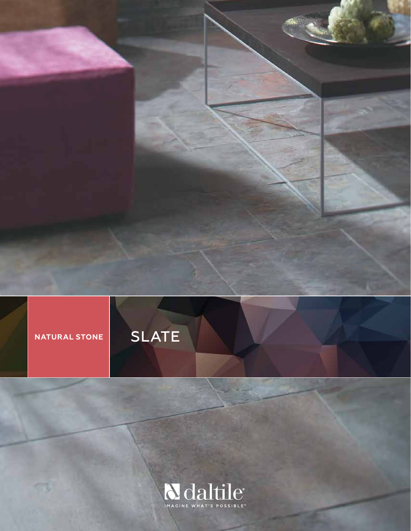



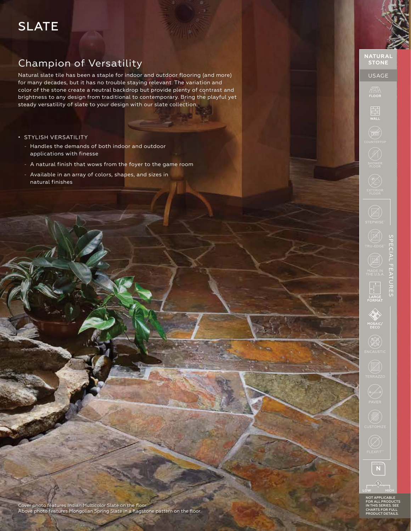# SLATE

# Champion of Versatility

Natural slate tile has been a staple for indoor and outdoor flooring (and more) for many decades, but it has no trouble staying relevant. The variation and color of the stone create a neutral backdrop but provide plenty of contrast and brightness to any design from traditional to contemporary. Bring the playful yet steady versatility of slate to your design with our slate collection.

- STYLISH VERSATILITY
	- Handles the demands of both indoor and outdoor applications with finesse
	- A natural finish that wows from the foyer to the game room
	- Available in an array of colors, shapes, and sizes in natural finishes

USAGE

ATA FLOOR

 $\begin{array}{c}\n\hline\n\hline\n\end{array}$ WALL

 $\widehat{\mathbb{R}}$ 

 $\overline{\mathbf{H}}$ 



NOT APPLICABLE FOR ALL PRODUCTS IN THIS SERIES. SEE CHARTS FOR FULL PRODUCT DETAILS.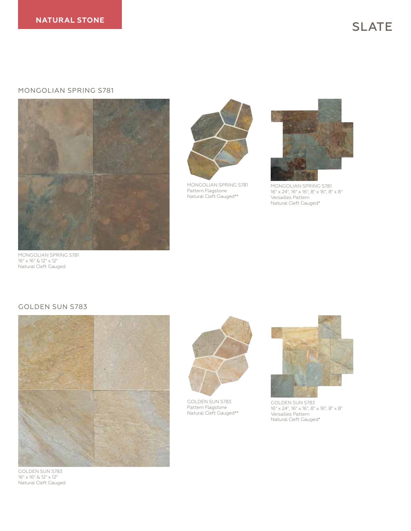#### MONGOLIAN SPRING S781





MONGOLIAN SPRING S781 Pattern Flagstone Natural Cleft Gauged\*\*



MONGOLIAN SPRING S781 16" x 24", 16" x 16", 8" x 16", 8" x 8" Versailles Pattern Natural Cleft Gauged\*

MONGOLIAN SPRING S781 16" x 16" & 12" x 12" Natural Cleft Gauged

#### GOLDEN SUN S783



GOLDEN SUN S783 16" x 16" & 12" x 12" Natural Cleft Gauged



GOLDEN SUN S783 Pattern Flagstone Natural Cleft Gauged\*\*



GOLDEN SUN S783 16" x 24", 16" x 16", 8" x 16", 8" x 8" Versailles Pattern Natural Cleft Gauged\*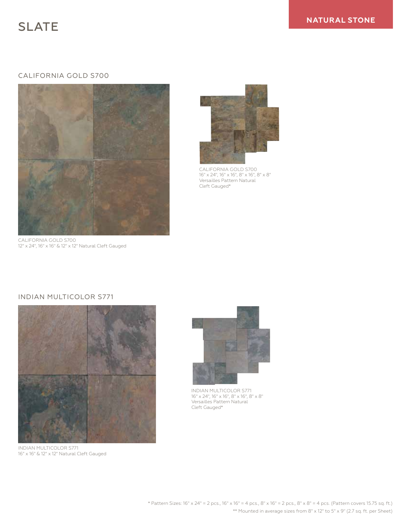## CALIFORNIA GOLD S700



CALIFORNIA GOLD S700 12" x 24", 16" x 16" & 12" x 12" Natural Cleft Gauged



CALIFORNIA GOLD S700 16" x 24", 16" x 16", 8" x 16", 8" x 8" Versailles Pattern Natural Cleft Gauged\*

# INDIAN MULTICOLOR S771



INDIAN MULTICOLOR S771 16" x 16" & 12" x 12" Natural Cleft Gauged



INDIAN MULTICOLOR S771 16" x 24", 16" x 16", 8" x 16", 8" x 8" Versailles Pattern Natural Cleft Gauged\*